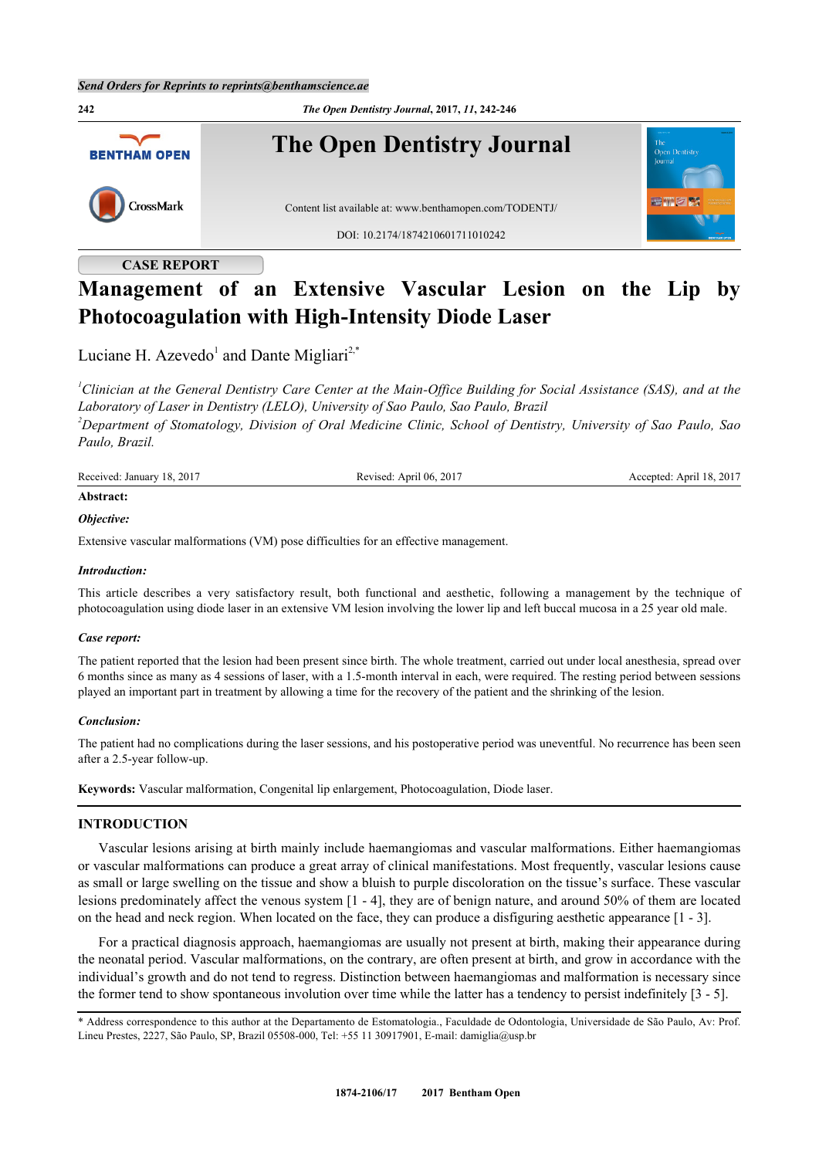

# **CASE REPORT**

# **Management of an Extensive Vascular Lesion on the Lip by Photocoagulation with High-Intensity Diode Laser**

Luciane H. Azevedo<sup>[1](#page-0-0)</sup> and Dante Migliari<sup>[2,](#page-0-1)[\\*](#page-0-2)</sup>

<span id="page-0-1"></span><span id="page-0-0"></span>*<sup>1</sup>Clinician at the General Dentistry Care Center at the Main-Office Building for Social Assistance (SAS), and at the Laboratory of Laser in Dentistry (LELO), University of Sao Paulo, Sao Paulo, Brazil <sup>2</sup>Department of Stomatology, Division of Oral Medicine Clinic, School of Dentistry, University of Sao Paulo, Sao Paulo, Brazil.*

| Received: January 18, 2017 | Revised: April 06, 2017 | Accepted: April 18, 2017 |
|----------------------------|-------------------------|--------------------------|
| $\cdots$                   |                         |                          |

# **Abstract:** *Objective:*

Extensive vascular malformations (VM) pose difficulties for an effective management.

# *Introduction:*

This article describes a very satisfactory result, both functional and aesthetic, following a management by the technique of photocoagulation using diode laser in an extensive VM lesion involving the lower lip and left buccal mucosa in a 25 year old male.

# *Case report:*

The patient reported that the lesion had been present since birth. The whole treatment, carried out under local anesthesia, spread over 6 months since as many as 4 sessions of laser, with a 1.5-month interval in each, were required. The resting period between sessions played an important part in treatment by allowing a time for the recovery of the patient and the shrinking of the lesion.

# *Conclusion:*

The patient had no complications during the laser sessions, and his postoperative period was uneventful. No recurrence has been seen after a 2.5-year follow-up.

**Keywords:** Vascular malformation, Congenital lip enlargement, Photocoagulation, Diode laser.

# **INTRODUCTION**

Vascular lesions arising at birth mainly include haemangiomas and vascular malformations. Either haemangiomas or vascular malformations can produce a great array of clinical manifestations. Most frequently, vascular lesions cause as small or large swelling on the tissue and show a bluish to purple discoloration on the tissue's surface. These vascular lesions predominately affect the venous system [[1](#page-3-0) - [4\]](#page-4-0), they are of benign nature, and around 50% of them are located on the head and neck region. When located on the face, they can produce a disfiguring aesthetic appearance [\[1](#page-3-0) - [3\]](#page-4-1).

For a practical diagnosis approach, haemangiomas are usually not present at birth, making their appearance during the neonatal period. Vascular malformations, on the contrary, are often present at birth, and grow in accordance with the individual's growth and do not tend to regress. Distinction between haemangiomas and malformation is necessary since the former tend to show spontaneous involution over time while the latter has a tendency to persist indefinitely [[3](#page-4-1) - [5\]](#page-4-2).

<span id="page-0-2"></span><sup>\*</sup> Address correspondence to this author at the Departamento de Estomatologia., Faculdade de Odontologia, Universidade de São Paulo, Av: Prof. Lineu Prestes, 2227, São Paulo, SP, Brazil 05508-000, Tel: +55 11 30917901, E-mail: [damiglia@usp.br](mailto:damiglia@usp.br)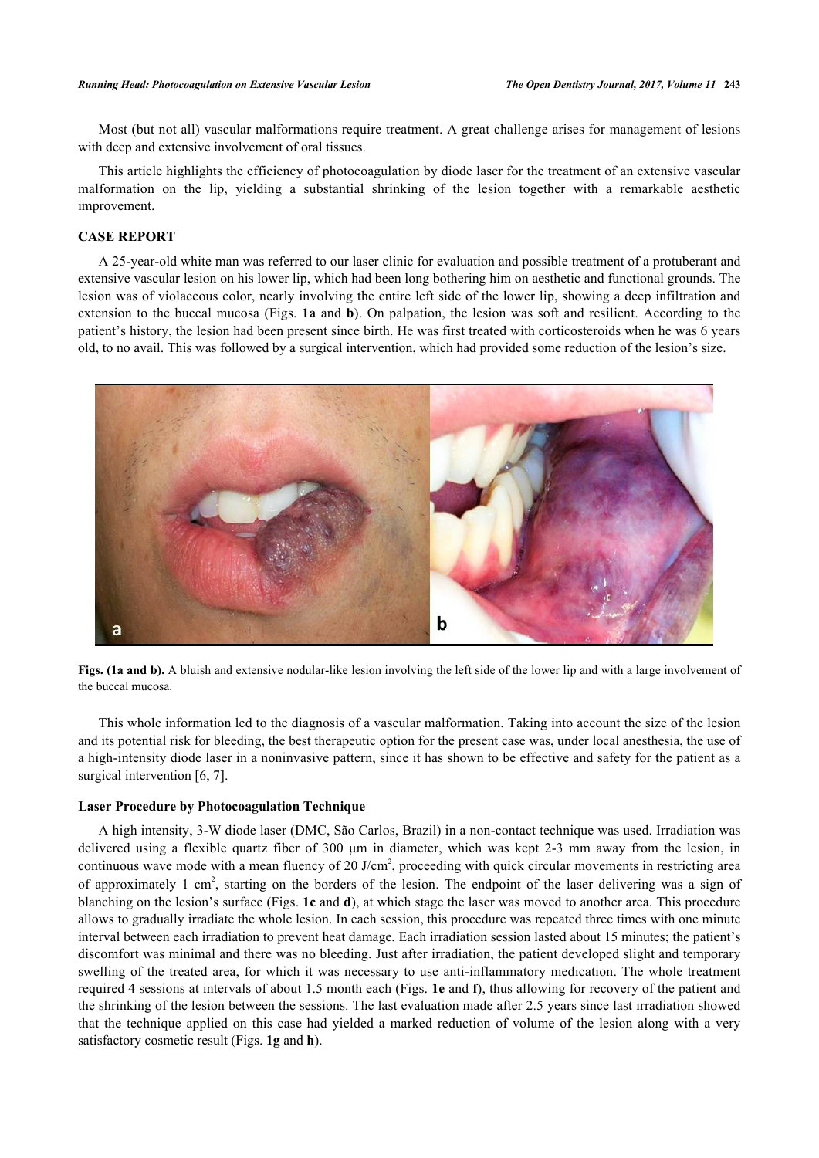Most (but not all) vascular malformations require treatment. A great challenge arises for management of lesions with deep and extensive involvement of oral tissues.

This article highlights the efficiency of photocoagulation by diode laser for the treatment of an extensive vascular malformation on the lip, yielding a substantial shrinking of the lesion together with a remarkable aesthetic improvement.

# **CASE REPORT**

A 25-year-old white man was referred to our laser clinic for evaluation and possible treatment of a protuberant and extensive vascular lesion on his lower lip, which had been long bothering him on aesthetic and functional grounds. The lesion was of violaceous color, nearly involving the entire left side of the lower lip, showing a deep infiltration and extension to the buccal mucosa (Figs. **[1a](#page-1-0)** and **[b](#page-1-0)**). On palpation, the lesion was soft and resilient. According to the patient's history, the lesion had been present since birth. He was first treated with corticosteroids when he was 6 years old, to no avail. This was followed by a surgical intervention, which had provided some reduction of the lesion's size.

<span id="page-1-0"></span>



This whole information led to the diagnosis of a vascular malformation. Taking into account the size of the lesion and its potential risk for bleeding, the best therapeutic option for the present case was, under local anesthesia, the use of a high-intensity diode laser in a noninvasive pattern, since it has shown to be effective and safety for the patient as a surgical intervention [\[6](#page-4-3), [7](#page-4-4)].

#### **Laser Procedure by Photocoagulation Technique**

<span id="page-1-1"></span>A high intensity, 3-W diode laser (DMC, São Carlos, Brazil) in a non-contact technique was used. Irradiation was delivered using a flexible quartz fiber of 300 μm in diameter, which was kept 2-3 mm away from the lesion, in continuous wave mode with a mean fluency of 20 J/cm<sup>2</sup>, proceeding with quick circular movements in restricting area of approximately 1 cm<sup>2</sup>, starting on the borders of the lesion. The endpoint of the laser delivering was a sign of blanching on the lesion's surface (Figs. **[1c](#page-1-1)** and **[d](#page-1-1)**), at which stage the laser was moved to another area. This procedure allows to gradually irradiate the whole lesion. In each session, this procedure was repeated three times with one minute interval between each irradiation to prevent heat damage. Each irradiation session lasted about 15 minutes; the patient's discomfort was minimal and there was no bleeding. Just after irradiation, the patient developed slight and temporary swelling of the treated area, for which it was necessary to use anti-inflammatory medication. The whole treatment required 4 sessions at intervals of about 1.5 month each (Figs. **[1e](#page-2-0)** and **[f](#page-2-0)**), thus allowing for recovery of the patient and the shrinking of the lesion between the sessions. The last evaluation made after 2.5 years since last irradiation showed that the technique applied on this case had yielded a marked reduction of volume of the lesion along with a very satisfactory cosmetic result (Figs. **[1g](#page-2-1)** and **[h](#page-2-1)**).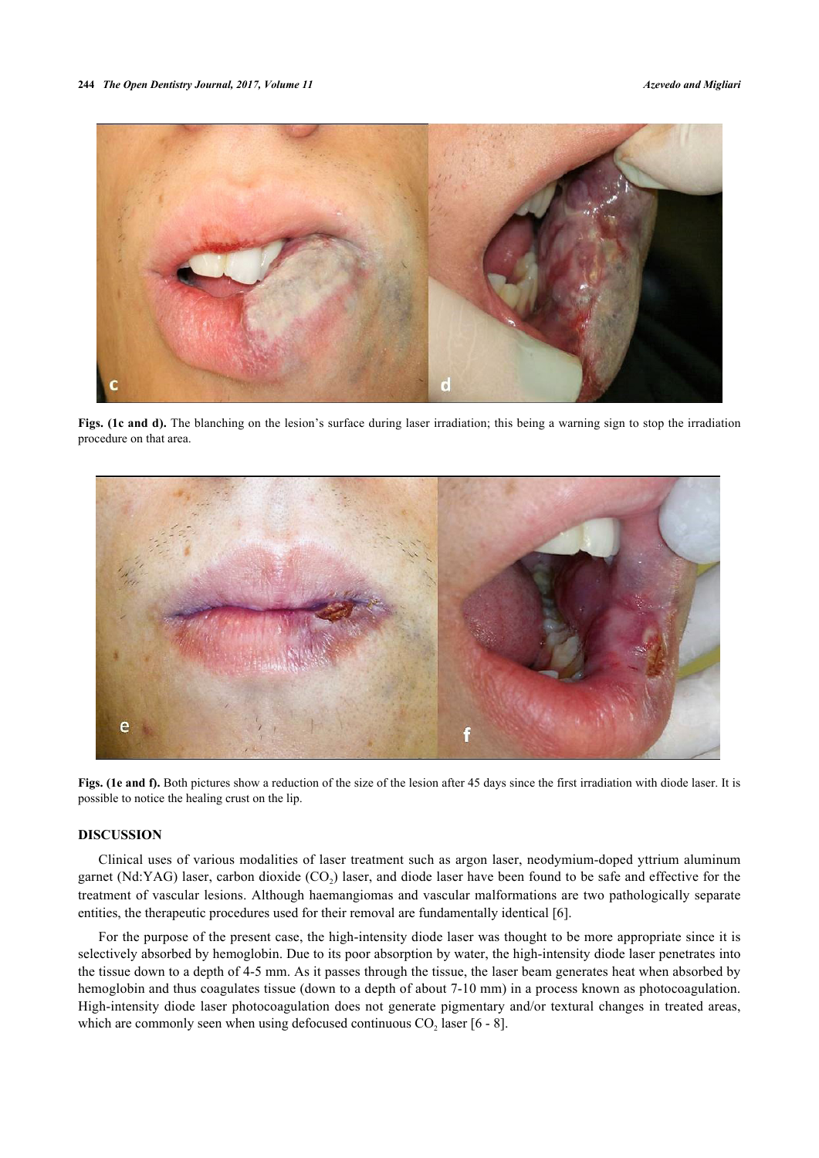

**Figs. (1c and d).** The blanching on the lesion's surface during laser irradiation; this being a warning sign to stop the irradiation procedure on that area.

<span id="page-2-0"></span>

**Figs. (1e and f).** Both pictures show a reduction of the size of the lesion after 45 days since the first irradiation with diode laser. It is possible to notice the healing crust on the lip.

# **DISCUSSION**

Clinical uses of various modalities of laser treatment such as argon laser, neodymium-doped yttrium aluminum garnet (Nd:YAG) laser, carbon dioxide  $(CO_2)$  laser, and diode laser have been found to be safe and effective for the treatment of vascular lesions. Although haemangiomas and vascular malformations are two pathologically separate entities, the therapeutic procedures used for their removal are fundamentally identical [[6\]](#page-4-3).

<span id="page-2-1"></span>For the purpose of the present case, the high-intensity diode laser was thought to be more appropriate since it is selectively absorbed by hemoglobin. Due to its poor absorption by water, the high-intensity diode laser penetrates into the tissue down to a depth of 4-5 mm. As it passes through the tissue, the laser beam generates heat when absorbed by hemoglobin and thus coagulates tissue (down to a depth of about 7-10 mm) in a process known as photocoagulation. High-intensity diode laser photocoagulation does not generate pigmentary and/or textural changes in treated areas, which are commonly seen when using defocused continuous  $CO<sub>2</sub>$  laser [[6](#page-4-3) - [8\]](#page-4-5).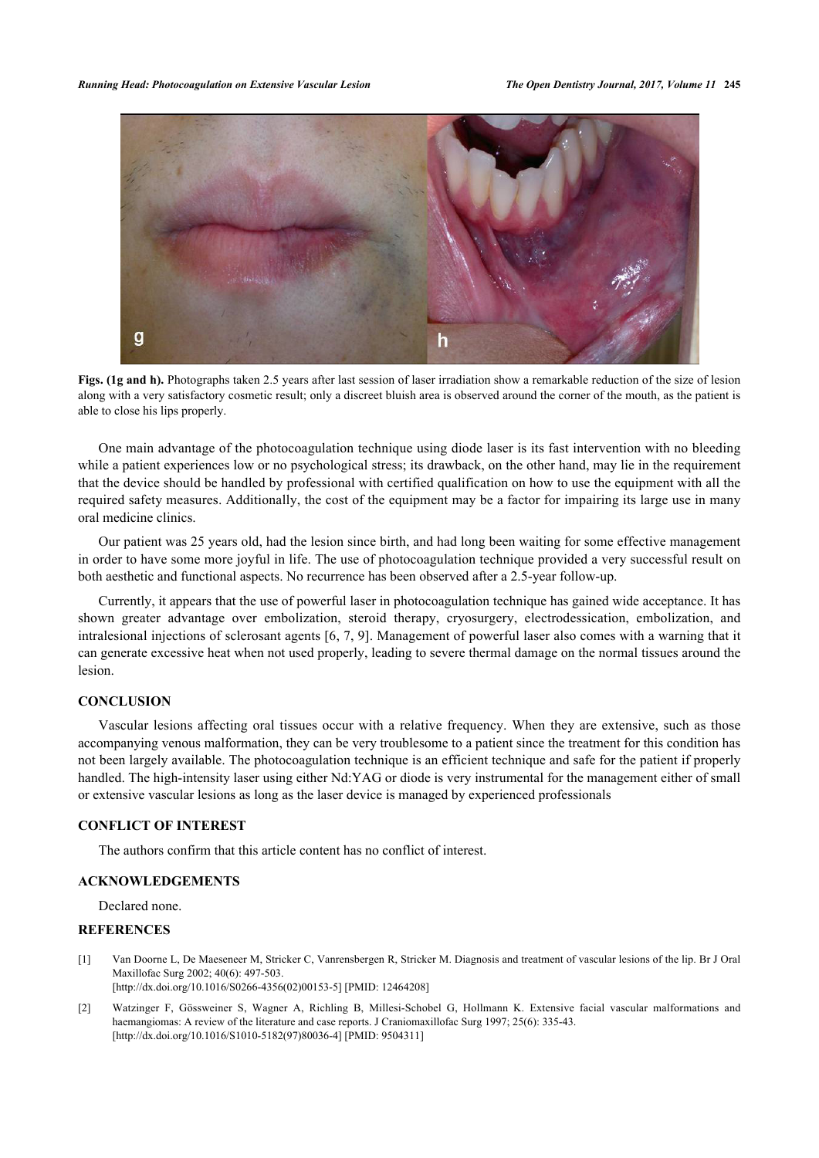

**Figs. (1g and h).** Photographs taken 2.5 years after last session of laser irradiation show a remarkable reduction of the size of lesion along with a very satisfactory cosmetic result; only a discreet bluish area is observed around the corner of the mouth, as the patient is able to close his lips properly.

One main advantage of the photocoagulation technique using diode laser is its fast intervention with no bleeding while a patient experiences low or no psychological stress; its drawback, on the other hand, may lie in the requirement that the device should be handled by professional with certified qualification on how to use the equipment with all the required safety measures. Additionally, the cost of the equipment may be a factor for impairing its large use in many oral medicine clinics.

Our patient was 25 years old, had the lesion since birth, and had long been waiting for some effective management in order to have some more joyful in life. The use of photocoagulation technique provided a very successful result on both aesthetic and functional aspects. No recurrence has been observed after a 2.5-year follow-up.

Currently, it appears that the use of powerful laser in photocoagulation technique has gained wide acceptance. It has shown greater advantage over embolization, steroid therapy, cryosurgery, electrodessication, embolization, and intralesional injections of sclerosant agents [\[6](#page-4-3), [7,](#page-4-4) [9](#page-4-6)]. Management of powerful laser also comes with a warning that it can generate excessive heat when not used properly, leading to severe thermal damage on the normal tissues around the lesion.

# **CONCLUSION**

Vascular lesions affecting oral tissues occur with a relative frequency. When they are extensive, such as those accompanying venous malformation, they can be very troublesome to a patient since the treatment for this condition has not been largely available. The photocoagulation technique is an efficient technique and safe for the patient if properly handled. The high-intensity laser using either Nd:YAG or diode is very instrumental for the management either of small or extensive vascular lesions as long as the laser device is managed by experienced professionals

# **CONFLICT OF INTEREST**

The authors confirm that this article content has no conflict of interest.

# **ACKNOWLEDGEMENTS**

Declared none.

## **REFERENCES**

- <span id="page-3-0"></span>[1] Van Doorne L, De Maeseneer M, Stricker C, Vanrensbergen R, Stricker M. Diagnosis and treatment of vascular lesions of the lip. Br J Oral Maxillofac Surg 2002; 40(6): 497-503. [\[http://dx.doi.org/10.1016/S0266-4356\(02\)00153-5\]](http://dx.doi.org/10.1016/S0266-4356(02)00153-5) [PMID: [12464208](http://www.ncbi.nlm.nih.gov/pubmed/12464208)]
- [2] Watzinger F, Gössweiner S, Wagner A, Richling B, Millesi-Schobel G, Hollmann K. Extensive facial vascular malformations and haemangiomas: A review of the literature and case reports. J Craniomaxillofac Surg 1997; 25(6): 335-43. [\[http://dx.doi.org/10.1016/S1010-5182\(97\)80036-4\]](http://dx.doi.org/10.1016/S1010-5182(97)80036-4) [PMID: [9504311](http://www.ncbi.nlm.nih.gov/pubmed/9504311)]